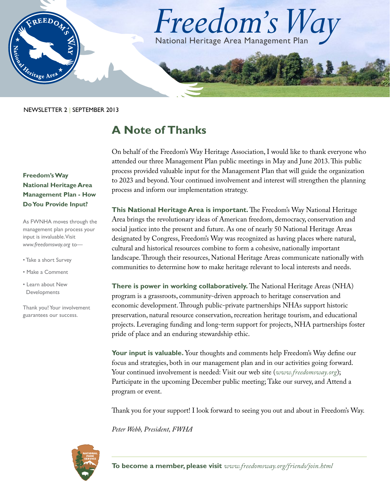

NEWSLETTER 2 | SEPTEMBER 2013

## **A Note of Thanks**

On behalf of the Freedom's Way Heritage Association, I would like to thank everyone who attended our three Management Plan public meetings in May and June 2013. This public process provided valuable input for the Management Plan that will guide the organization to 2023 and beyond. Your continued involvement and interest will strengthen the planning process and inform our implementation strategy.

**This National Heritage Area is important.** The Freedom's Way National Heritage Area brings the revolutionary ideas of American freedom, democracy, conservation and social justice into the present and future. As one of nearly 50 National Heritage Areas designated by Congress, Freedom's Way was recognized as having places where natural, cultural and historical resources combine to form a cohesive, nationally important landscape. Through their resources, National Heritage Areas communicate nationally with communities to determine how to make heritage relevant to local interests and needs.

**There is power in working collaboratively.** The National Heritage Areas (NHA) program is a grassroots, community-driven approach to heritage conservation and economic development. Through public-private partnerships NHAs support historic preservation, natural resource conservation, recreation heritage tourism, and educational projects. Leveraging funding and long-term support for projects, NHA partnerships foster pride of place and an enduring stewardship ethic.

**Your input is valuable.** Your thoughts and comments help Freedom's Way define our focus and strategies, both in our management plan and in our activities going forward. Your continued involvement is needed: Visit our web site (*[www.freedomsway.org](http://www.freedomsway.org)*); Participate in the upcoming December public meeting; Take our survey, and Attend a program or event.

Thank you for your support! I look forward to seeing you out and about in Freedom's Way.

*Peter Webb, President, FWHA*



**To become a member, please visit** *[www.freedomsway.org/friends/join.html](http://www.freedomsway.org/friends/join.html)*

### **Freedom's Way National Heritage Area Management Plan - How Do You Provide Input?**

As FWNHA moves through the management plan process your input is invaluable. Visit *<www.freedomsway.org>* to—

- Take a short Survey
- Make a Comment
- Learn about New Developments

Thank you! Your involvement guarantees our success.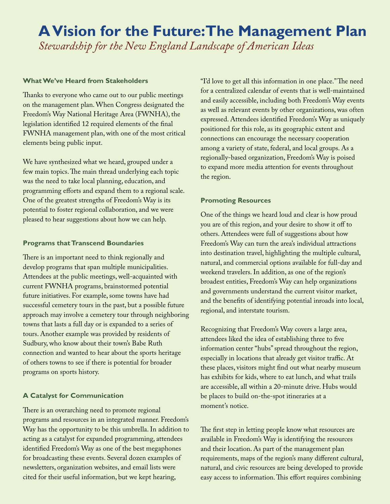## **A Vision for the Future: The Management Plan** *Stewardship for the New England Landscape of American Ideas*

#### **What We've Heard from Stakeholders**

Thanks to everyone who came out to our public meetings on the management plan. When Congress designated the Freedom's Way National Heritage Area (FWNHA), the legislation identified 12 required elements of the final FWNHA management plan, with one of the most critical elements being public input.

We have synthesized what we heard, grouped under a few main topics. The main thread underlying each topic was the need to take local planning, education, and programming efforts and expand them to a regional scale. One of the greatest strengths of Freedom's Way is its potential to foster regional collaboration, and we were pleased to hear suggestions about how we can help.

#### **Programs that Transcend Boundaries**

There is an important need to think regionally and develop programs that span multiple municipalities. Attendees at the public meetings, well-acquainted with current FWNHA programs, brainstormed potential future initiatives. For example, some towns have had successful cemetery tours in the past, but a possible future approach may involve a cemetery tour through neighboring towns that lasts a full day or is expanded to a series of tours. Another example was provided by residents of Sudbury, who know about their town's Babe Ruth connection and wanted to hear about the sports heritage of others towns to see if there is potential for broader programs on sports history.

#### **A Catalyst for Communication**

There is an overarching need to promote regional programs and resources in an integrated manner. Freedom's Way has the opportunity to be this umbrella. In addition to acting as a catalyst for expanded programming, attendees identified Freedom's Way as one of the best megaphones for broadcasting these events. Several dozen examples of newsletters, organization websites, and email lists were cited for their useful information, but we kept hearing,

"I'd love to get all this information in one place." The need for a centralized calendar of events that is well-maintained and easily accessible, including both Freedom's Way events as well as relevant events by other organizations, was often expressed. Attendees identified Freedom's Way as uniquely positioned for this role, as its geographic extent and connections can encourage the necessary cooperation among a variety of state, federal, and local groups. As a regionally-based organization, Freedom's Way is poised to expand more media attention for events throughout the region.

#### **Promoting Resources**

One of the things we heard loud and clear is how proud you are of this region, and your desire to show it off to others. Attendees were full of suggestions about how Freedom's Way can turn the area's individual attractions into destination travel, highlighting the multiple cultural, natural, and commercial options available for full-day and weekend travelers. In addition, as one of the region's broadest entities, Freedom's Way can help organizations and governments understand the current visitor market, and the benefits of identifying potential inroads into local, regional, and interstate tourism.

Recognizing that Freedom's Way covers a large area, attendees liked the idea of establishing three to five information center "hubs" spread throughout the region, especially in locations that already get visitor traffic. At these places, visitors might find out what nearby museum has exhibits for kids, where to eat lunch, and what trails are accessible, all within a 20-minute drive. Hubs would be places to build on-the-spot itineraries at a moment's notice.

The first step in letting people know what resources are available in Freedom's Way is identifying the resources and their location. As part of the management plan requirements, maps of the region's many different cultural, natural, and civic resources are being developed to provide easy access to information. This effort requires combining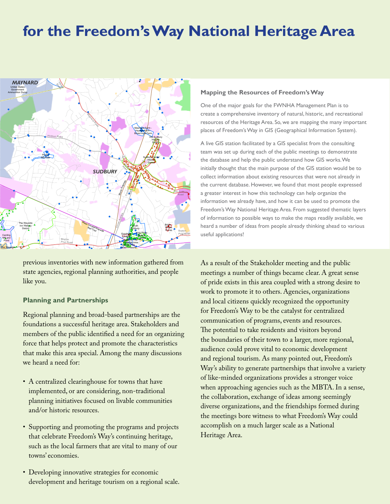# **for the Freedom's Way National Heritage Area**



previous inventories with new information gathered from previous inventories with hew information gathered from<br>state agencies, regional planning authorities, and people<br>!!! like you. **MHC Historic Inventory Bicycle Trails Open Space and Conservation Land**

#### **Planning and Partnerships** #\* NRHP and LHD

Regional planning and broad-based partnerships are the foundations a successful heritage area. Stakeholders and members of the public identified a need for an organizing force that helps protect and promote the characteristics that make this area special. Among the many discussions we heard a need for: **\* Legend applies to a larger map extent. Some legend items might not display in this map.**

- A centralized clearinghouse for towns that have implemented, or are considering, non-traditional planning initiatives focused on livable communities and/or historic resources.
- Supporting and promoting the programs and projects that celebrate Freedom's Way's continuing heritage, such as the local farmers that are vital to many of our towns' economies.
- Developing innovative strategies for economic development and heritage tourism on a regional scale.

#### **Mapping the Resources of Freedom's Way**

One of the major goals for the FWNHA Management Plan is to create a comprehensive inventory of natural, historic, and recreational resources of the Heritage Area. So, we are mapping the many important places of Freedom's Way in GIS (Geographical Information System).

A live GIS station facilitated by a GIS specialist from the consulting team was set up during each of the public meetings to demonstrate the database and help the public understand how GIS works. We initially thought that the main purpose of the GIS station would be to collect information about existing resources that were not already in the current database. However, we found that most people expressed a greater interest in how this technology can help organize the information we already have, and how it can be used to promote the Freedom's Way National Heritage Area. From suggested thematic layers of information to possible ways to make the maps readily available, we heard a number of ideas from people already thinking ahead to various useful applications!

As a result of the Stakeholder meeting and the public meetings a number of things became clear. A great sense of pride exists in this area coupled with a strong desire to work to promote it to others. Agencies, organizations and local citizens quickly recognized the opportunity for Freedom's Way to be the catalyst for centralized communication of programs, events and resources. The potential to take residents and visitors beyond the boundaries of their town to a larger, more regional, audience could prove vital to economic development and regional tourism. As many pointed out, Freedom's Way's ability to generate partnerships that involve a variety of like-minded organizations provides a stronger voice when approaching agencies such as the MBTA. In a sense, the collaboration, exchange of ideas among seemingly diverse organizations, and the friendships formed during the meetings bore witness to what Freedom's Way could accomplish on a much larger scale as a National Heritage Area.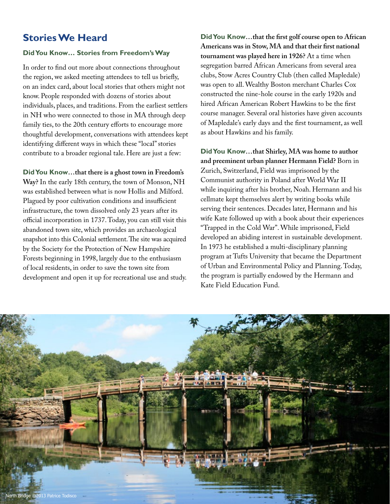## **Stories We Heard**

#### **Did You Know… Stories from Freedom's Way**

In order to find out more about connections throughout the region, we asked meeting attendees to tell us briefly, on an index card, about local stories that others might not know. People responded with dozens of stories about individuals, places, and traditions. From the earliest settlers in NH who were connected to those in MA through deep family ties, to the 20th century efforts to encourage more thoughtful development, conversations with attendees kept identifying different ways in which these "local" stories contribute to a broader regional tale. Here are just a few:

#### **Did You Know…that there is a ghost town in Freedom's**

**Way?** In the early 18th century, the town of Monson, NH was established between what is now Hollis and Milford. Plagued by poor cultivation conditions and insufficient infrastructure, the town dissolved only 23 years after its official incorporation in 1737. Today, you can still visit this abandoned town site, which provides an archaeological snapshot into this Colonial settlement. The site was acquired by the Society for the Protection of New Hampshire Forests beginning in 1998, largely due to the enthusiasm of local residents, in order to save the town site from development and open it up for recreational use and study.

**Did You Know…that the first golf course open to African Americans was in Stow, MA and that their first national tournament was played here in 1926?** At a time when segregation barred African Americans from several area clubs, Stow Acres Country Club (then called Mapledale) was open to all. Wealthy Boston merchant Charles Cox constructed the nine-hole course in the early 1920s and hired African American Robert Hawkins to be the first course manager. Several oral histories have given accounts of Mapledale's early days and the first tournament, as well as about Hawkins and his family.

**Did You Know…that Shirley, MA was home to author and preeminent urban planner Hermann Field?** Born in Zurich, Switzerland, Field was imprisoned by the Communist authority in Poland after World War II while inquiring after his brother, Noah. Hermann and his cellmate kept themselves alert by writing books while serving their sentences. Decades later, Hermann and his wife Kate followed up with a book about their experiences "Trapped in the Cold War". While imprisoned, Field developed an abiding interest in sustainable development. In 1973 he established a multi-disciplinary planning program at Tufts University that became the Department of Urban and Environmental Policy and Planning. Today, the program is partially endowed by the Hermann and Kate Field Education Fund.

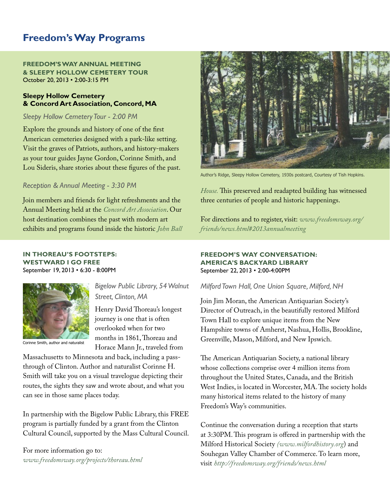## **Freedom's Way Programs**

**FREEDOM'S WAY ANNUAL MEETING & SLEEPY HOLLOW CEMETERY TOUR** October 20, 2013 • 2:00-3:15 PM

#### **Sleepy Hollow Cemetery & Concord Art Association, Concord, MA**

#### *Sleepy Hollow Cemetery Tour - 2:00 PM*

Explore the grounds and history of one of the first American cemeteries designed with a park-like setting. Visit the graves of Patriots, authors, and history-makers as your tour guides Jayne Gordon, Corinne Smith, and Lou Sideris, share stories about these figures of the past.

#### *Reception & Annual Meeting - 3:30 PM*

Join members and friends for light refreshments and the Annual Meeting held at the *[Concord Art Association](http://www.concordart.org/)*. Our host destination combines the past with modern art exhibits and programs found inside the historic *[John Ball](http://www.concordart.org/about/about_john_ball_house.php)* 

#### **IN THOREAU'S FOOTSTEPS: WESTWARD I GO FREE** September 19, 2013 • 6:30 - 8:00PM



#### *Bigelow Public Library, 54 Walnut Street, Clinton, MA*

Henry David Thoreau's longest journey is one that is often overlooked when for two months in 1861, Thoreau and Horace Mann Jr., traveled from

nne Smith, author and naturalist

Massachusetts to Minnesota and back, including a passthrough of Clinton. Author and naturalist Corinne H. Smith will take you on a visual travelogue depicting their routes, the sights they saw and wrote about, and what you can see in those same places today.

In partnership with the Bigelow Public Library, this FREE program is partially funded by a grant from the Clinton Cultural Council, supported by the Mass Cultural Council.

For more information go to: *<www.freedomsway.org/projects/thoreau.html>*



Author's Ridge, Sleepy Hollow Cemetery, 1930s postcard, Courtesy of Tish Hopkins.

*[House.](http://www.concordart.org/about/about_john_ball_house.php)* This preserved and readapted building has witnessed three centuries of people and historic happenings.

For directions and to register, visit: *[www.freedomsway.org/](http://www.freedomsway.org/friends/news.html#2013annualmeeting) [friends/news.html#2013annualmeeting](http://www.freedomsway.org/friends/news.html#2013annualmeeting)*

#### **FREEDOM'S WAY CONVERSATION: AMERICA'S BACKYARD LIBRARY** September 22, 2013 • 2:00-4:00PM

#### *Milford Town Hall, One Union Square, Milford, NH*

Join Jim Moran, the American Antiquarian Society's Director of Outreach, in the beautifully restored Milford Town Hall to explore unique items from the New Hampshire towns of Amherst, Nashua, Hollis, Brookline, Greenville, Mason, Milford, and New Ipswich.

The American Antiquarian Society, a national library whose collections comprise over 4 million items from throughout the United States, Canada, and the British West Indies, is located in Worcester, MA. The society holds many historical items related to the history of many Freedom's Way's communities.

Continue the conversation during a reception that starts at 3:30PM. This program is offered in partnership with the Milford Historical Society *[\(www.milfordhistory.org](http://www.milfordhistory.org)*) and Souhegan Valley Chamber of Commerce. To learn more, visit *<http://freedomsway.org/friends/news.html>*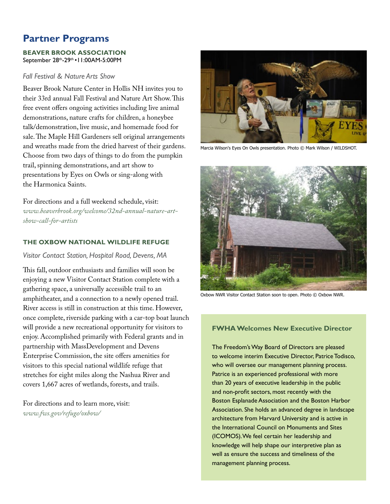## **Partner Programs**

#### **BEAVER BROOK ASSOCIATION** September 28th-29th •11:00AM-5:00PM

#### *Fall Festival & Nature Arts Show*

Beaver Brook Nature Center in Hollis NH invites you to their 33rd annual Fall Festival and Nature Art Show. This free event offers ongoing activities including live animal demonstrations, nature crafts for children, a honeybee talk/demonstration, live music, and homemade food for sale. The Maple Hill Gardeners sell original arrangements and wreaths made from the dried harvest of their gardens. Choose from two days of things to do from the pumpkin trail, spinning demonstrations, and art show to presentations by Eyes on Owls or sing-along with the Harmonica Saints.

For directions and a full weekend schedule, visit: *[www.beaverbrook.org/welcome/32nd-annual-nature-art](http://www.beaverbrook.org/welcome/32nd-annual-nature-art-show-call-for-artists)[show-call-for-artists](http://www.beaverbrook.org/welcome/32nd-annual-nature-art-show-call-for-artists)*

#### **THE OXBOW NATIONAL WILDLIFE REFUGE**

#### *Visitor Contact Station, Hospital Road, Devens, MA*

This fall, outdoor enthusiasts and families will soon be enjoying a new Visitor Contact Station complete with a gathering space, a universally accessible trail to an amphitheater, and a connection to a newly opened trail. River access is still in construction at this time. However, once complete, riverside parking with a car-top boat launch will provide a new recreational opportunity for visitors to enjoy. Accomplished primarily with Federal grants and in partnership with MassDevelopment and Devens Enterprise Commission, the site offers amenities for visitors to this special national wildlife refuge that stretches for eight miles along the Nashua River and covers 1,667 acres of wetlands, forests, and trails.

For directions and to learn more, visit: *[www.fws.gov/refuge/oxbow](http://www.fws.gov/refuge/oxbow)/*



Marcia Wilson's Eyes On Owls presentation. Photo © Mark Wilson / WILDSHOT.



Oxbow NWR Visitor Contact Station soon to open. Photo © Oxbow NWR.

#### **FWHA Welcomes New Executive Director**

The Freedom's Way Board of Directors are pleased to welcome interim Executive Director, Patrice Todisco, who will oversee our management planning process. Patrice is an experienced professional with more than 20 years of executive leadership in the public and non-profit sectors, most recently with the Boston Esplanade Association and the Boston Harbor Association. She holds an advanced degree in landscape architecture from Harvard University and is active in the International Council on Monuments and Sites (ICOMOS). We feel certain her leadership and knowledge will help shape our interpretive plan as well as ensure the success and timeliness of the management planning process.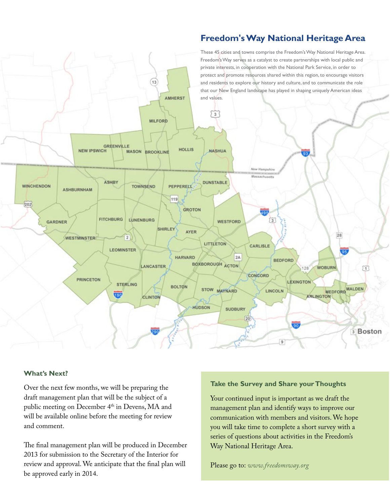## **Freedom's Way National Heritage Area**



#### **What's Next?**

Over the next few months, we will be preparing the draft management plan that will be the subject of a public meeting on December 4<sup>th</sup> in Devens, MA and will be available online before the meeting for review and comment.

The final management plan will be produced in December 2013 for submission to the Secretary of the Interior for review and approval. We anticipate that the final plan will be approved early in 2014.

#### **Take the Survey and Share your Thoughts**

Your continued input is important as we draft the management plan and identify ways to improve our communication with members and visitors. We hope you will take time to complete a short survey with a series of questions about activities in the Freedom's Way National Heritage Area.

Please go to: *[www.freedomsway.o](www.freedomsway.org)rg*